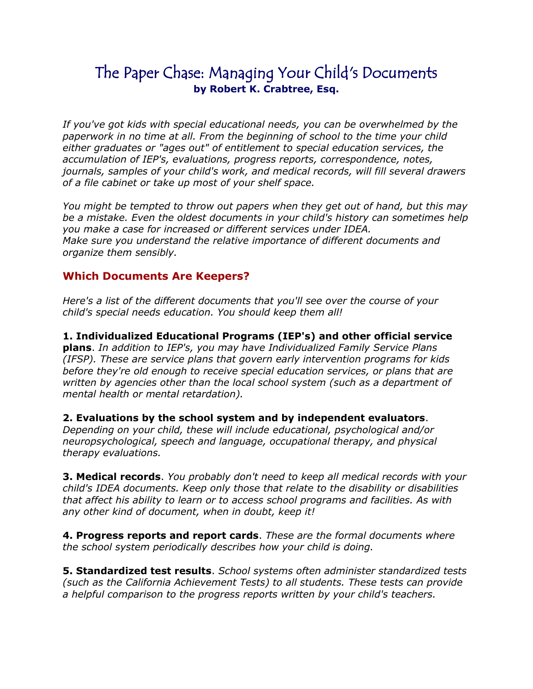## The Paper Chase: Managing Your Child's Documents **by Robert K. Crabtree, Esq.**

*If you've got kids with special educational needs, you can be overwhelmed by the paperwork in no time at all. From the beginning of school to the time your child either graduates or "ages out" of entitlement to special education services, the accumulation of IEP's, evaluations, progress reports, correspondence, notes, journals, samples of your child's work, and medical records, will fill several drawers of a file cabinet or take up most of your shelf space.* 

*You might be tempted to throw out papers when they get out of hand, but this may be a mistake. Even the oldest documents in your child's history can sometimes help you make a case for increased or different services under IDEA. Make sure you understand the relative importance of different documents and organize them sensibly.* 

## **Which Documents Are Keepers?**

*Here's a list of the different documents that you'll see over the course of your child's special needs education. You should keep them all!* 

**1. Individualized Educational Programs (IEP's) and other official service plans**. *In addition to IEP's, you may have Individualized Family Service Plans (IFSP). These are service plans that govern early intervention programs for kids before they're old enough to receive special education services, or plans that are written by agencies other than the local school system (such as a department of mental health or mental retardation).* 

**2. Evaluations by the school system and by independent evaluators**. *Depending on your child, these will include educational, psychological and/or neuropsychological, speech and language, occupational therapy, and physical therapy evaluations.* 

**3. Medical records**. *You probably don't need to keep all medical records with your child's IDEA documents. Keep only those that relate to the disability or disabilities that affect his ability to learn or to access school programs and facilities. As with any other kind of document, when in doubt, keep it!* 

**4. Progress reports and report cards**. *These are the formal documents where the school system periodically describes how your child is doing.*

**5. Standardized test results**. *School systems often administer standardized tests (such as the California Achievement Tests) to all students. These tests can provide a helpful comparison to the progress reports written by your child's teachers.*